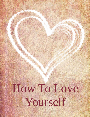# How To Love [Yourself](http://www.smartrebrander.com/sl/655768)

**HOW TO LOVE IS NOT** *BROUGHT TO YOU BY [CHRIS CADE](http://www.smartrebrander.com/sl/655766) AND [VIDEOSMOTIVATIONAL.COM](http://www.smartrebrander.com/sl/655767)*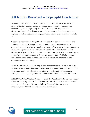### All Rights Reserved – Copyright Disclaimer

The author, Publisher, and distributor assume no responsibility for the use or misuse of the information, or for any injury, damage and/or financial loss sustained to persons or property as a result of using this program. The information contained in this program is for informational and entertainment purposes only. It is not intended as professional advice or a recommendation to act.

Please note that much of this publication is based on personal experience and anecdotal evidence. Although the author and Publisher have made every reasonable attempt to achieve complete accuracy of the content in this guide, they assume no responsibility for errors or omissions. Also, you should use this information as you see fit, and at your own risk. Your particular situation may not be exactly suited to the examples illustrated here; in fact, it's likely that they won't be the same, and you should adjust your use of the information and recommendations accordingly.

DISTRIBUTION RIGHTS. As long as this document is not altered in any way, you have permission to share and re-distribute it in its original PDF format. The content may not be distributed in any other way or format without express written, dated and signed permission from the author Publisher, and distributor.

AFFILIATE DISCLOSURE: When you click the "Get Paid To Share This eBook" button and make a purchase, the distributor of this eBook will receive a referral commission. When you click other links in this email, in some cases ChrisCade.com LLC will receive a referral commission.



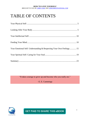### TABLE OF CONTENTS

| Your Emotional Self: Understanding & Respecting Your Own Feelings 15 |  |
|----------------------------------------------------------------------|--|
|                                                                      |  |
|                                                                      |  |

"It takes courage to grow up and become who you really are."

–E. E. Cummings



**GET PAID TO SHARE THIS eBOOK**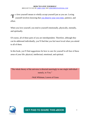o love yourself means to wholly accept yourself just as you are. Loving yourself involves knowing that [you deserve your own time,](http://www.smartrebrander.com/sl/655782) patience, and effort. T

When you love yourself, you tend to yourself emotionally, physically, mentally, and spiritually.

Of course, all of these parts of you are interdependent. Therefore, although they can be addressed individually, you'll find that you feel most loved when you attend to all of them.

In this book, you'll find suggestions for how to care for yourself in all four of these areas of your life: physical, intellectual, emotional, and spiritual.

"The whole theory of the universe is directed unerringly to one single individual namely, to You."

–Walt Whitman, Leaves of Grass



**GET PAID TO SHARE THIS eBOOK**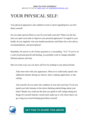### YOUR PHYSICAL SELF:

Your physical appearance and condition reveal so much regarding how you feel about yourself.

Do you make special efforts to care for your body each day? When was the last time you spent extra time to improve your personal appearance? In regard to your health, do you regularly visit your health practitioner and follow his or her advice, recommendations, and prescriptions?

Hopefully, the answer to all of these questions is a resounding, "Yes!" If you're on a road of personal growth and healing, you probably work to change unhealthy lifestyle patterns each day.

Here are some ways you can show self-love by tending to your physical body:

Take more time with your appearance. Most of us could easily spend a few additional minutes during our shower, shave, makeup application, or hair styling.

Ask yourself: do you notice the condition of your skin each day? Or do you spend your brief minutes in the mirror thinking unkind things about your body? Maybe you could use the time you spend in self-critique doing nice things for yourself instead: a touch more make-up or a bit closer shave can go a long way toward feeling good about yourself.

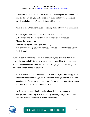If you want to demonstrate to the world that you love yourself, spend more time on the physical you. Take pride in yourself and in your appearance. You'll be glad of your efforts and others will notice too.

Make a change. Occasionally, do something different with your appearance.

Shave off your mustache or beard and see how you look.

Get a haircut and style it into that sassy hairdo picture you saved.

Change the color of your hair.

Consider trying out a new style of clothing.

You can even change your eye makeup. YouTube has lots of video tutorials for different looks.

When you alter something about your appearance, you demonstrate you're worth the time and effort it takes to try something new. Plus, it's refreshing. Even if you decide not to stick with a new look, trying one out for a day or a week can bring new zest to your life.

Put energy into yourself. Knowing you're worthy of your own energy is an important aspect of loving yourself. When you direct your attention toward something that's just for you, even if only for ten minutes a day, the message you send to yourself is that you're worth it.

Having a partner and a family can be a huge drain on your energy in an average day. Conserving at least some of your energy for yourself shows you care about you as much as you do your family.

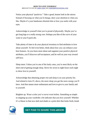Notice your physical "positives." Take a good, honest look in the mirror. Instead of focusing on what you'd change, draw your attention to what you like. Maybe it's your handsome chiseled chin or how you smile with your eyes.

Acknowledge to yourself what you're proud of physically. Maybe you've got long legs or a really strong core. Perhaps you like of the curve of your waist or your 6-pack abs.

Take plenty of time to do your physical inventory to find attributes to love about yourself. To feel even better, think about how you can enhance your best features. As you learn more about and augment your positive physical attributes, you'll discover self-acceptance, and be well on your way toward self-love.

Sleep more. Unless you're one of the lucky ones, you're most likely on the short end of getting enough sleep. Strive for seven to eight hours each night to show love to yourself.

Acknowledge that obtaining proper rest and sleep is on your priority list. And related to item #3, above, the more sleep you get the more energy you'll have. And that means more enthusiasm and love to give to your family and to yourself.

Brighten up. Wear a color you've never worn before. Something as simple as stepping up your wardrobe a bit indicates that you love yourself. Whether it's a blazer in that new dark teal shade or a print shirt that looks fresh, break

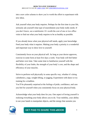into a new color scheme to show you're worth the effort to experiment with new ideas.

Ask yourself what your body requires. Perhaps for the first time in your life, seriously ask yourself what type of nourishment your body really needs. If you don't know, see a nutritionist. It's worth the cost of one or two office visits to find out what your body requires to be as healthy as possible.

If you already know what your physical self needs, apply your knowledge. Feed your body what it requires. Making your body a priority is a wonderful and important way to show love to yourself.

Consistently focus on your physical self. As long as your doctor approves, exercise in some form at least five days a week. Your body will feel better and better over time. Take some time to familiarize yourself with the flexibility of your limbs, the strength of your body's core, and the shape and efficiency of your muscles.

Strive to perform well physically in some specific way, whether it's doing calisthenics, yoga, weight-lifting, or jogging. Experiment with dance or try training for a triathlon.

You'll be pleasantly surprised at the feelings of pride, confidence, and care you feel for yourself when you consistently focus on your physical body.

Acknowledge what your body does for you. One aspect of loving yourself is realizing everything your body allows you to do. Your mobility, your ability to use your hands to manipulate objects, and the energy that sustains you

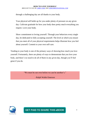through a challenging day are all thanks to your body.

Your physical self holds up for you under plenty of pressure on any given day. Cultivate gratitude for how your body does pretty much everything you require. Love your body.

Show commitment to loving yourself. Through your behaviors every single day, be dedicated to fully accepting yourself. The level at which you ensure that you meet all of your physical requirements helps illustrate how you feel about yourself. Commit to your own self-care.

Tending to your body is one of the primary ways of showing how much you love yourself. Fortunately, there are plenty of ways to demonstrate that you love your body, and there's no need to do all of them in any given day, though you'll feel great if you do.

"We must be our own before we can be another's."

–Ralph Waldo Emerson

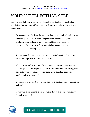## YOUR INTELLECTUAL SELF:

Loving yourself also involves providing your brain with plenty of intellectual stimulation. Here are some effective ways to demonstrate self-love by giving your mind a workout.

Do something you've longed to do. Loved art class in high school? Always wanted to pick up that paint brush again? Now's the time to go for it. Exploring a new or long-loved subject might feel like a delicious indulgence. You deserve to feast your mind on subjects that are intellectually stimulating to you.

The internet offers an abundance of fascinating information. Dive into a search on a topic that arouses your interests.

Write down your life priorities. What's important to you? Next, jot down your life goals. What do you really seek to accomplish in life? Finally, take note of how you spend most of your time. Your three lists should all be similar or closely connected.

Do you now spend most of your time achieving that thing you've desired for so long?

If you want more training to excel at work, do you make sure you follow through to attain it?

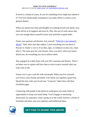If travel is a dream of yours, do you do something every single day related to it? You'll be intellectually stimulated if you make efforts to achieve your greatest desires.

When you spend your time and thoughts on working toward your goals, your mind will be at its happiest and most fit. Plus, this sort of work shows that you care enough about yourself to have your priorities in good order.

Foster your passions and dreams. Ask yourself, ["What do I care intensely](http://www.smartrebrander.com/sl/655811)  [about?"](http://www.smartrebrander.com/sl/655812) Then, delve into that subject. Learn everything you can about it. Practice it. Study it. Live it. If an idea, topic, or endeavor excites you, chase after it. The same goes for your dreams. Once you know what your hearts' desires are, do everything you can to achieve them.

Stay engaged on a daily basis with your life's passions and dreams. There's no better way to express self-love than to strive to give yourself what you truly want in life.

Ensure you've got a real life with real people. When you love yourself, you'll have close friends and family with whom you regularly spend time. Spend this time with your loved ones "in person" rather than with their Facebook pages.

Connecting with people in the physical world gives you many kinds of opportunities to keep your mind sharp. You'll engage in interesting discussions, be exposed to what's going on in the world, and have a forum to formulate and share your own opinions and intellectual ideas.

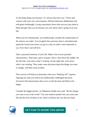Avoid doing things just because "it's always been this way." Know and connect with your own consciousness. Perform behaviors deliberately and with great forethought. Living consciously shows that you use your mind to think through what you do because you care about what's going on in your life.

When you live intentionally, you intellectually consider the ramifications of the choices you make. You recognize how precious time is and judiciously spend the twenty-four hours you get in a day on what's most important to you. Now that's real self-love.

Take a personal inventory of your life. Make a list of your personal characteristics. Then take a piece of paper. Draw a line down the middle. On the left side, write down what's working. On the right side, write down what's not working. Then, make some decisions about the things you want to change. And then work on them.

This exercise will help you determine what your "thinking self" requires. Figuring out what you need to be intellectually challenged and move forward in life demonstrates that you're worth the time and effort to be happy.

Consider the bigger picture. As Mahatma Gandhi once said, "Be the change you want to see in the world." Use your mind to ponder how you want your life and the lives of others to be. Strive to behave the way that you hope

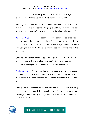others will behave. Consciously decide to make the changes that you hope other people will make. Set an excellent example to the world.

You may wonder how this can be considered self-love, since these actions may seem so intent on affecting other people. But how can you not feel good about yourself when you're focused on making the planet a better place?

[Tell yourself you're worthy.](http://www.smartrebrander.com/sl/655821) Recognize that you deserve to be loved, not only by yourself, but by those around you. Mentally prepare yourself for the love you receive from others and yourself. Know that you're worth of all the love you give to yourself. With the proper mindset, your possibilities in life are limitless.

Working with your belief in yourself will help pave the way to more selfacceptance and self-love in other areas. You'll find loving yourself to be much easier when you're confident that you're worth the effort.

[Find your power.](http://www.smartrebrander.com/sl/655822) When you see that you have control over your own mind, you'll be provided with opportunities to do as you wish with your life. In other words, you'll get to exercise the power you have in ways that enrich your existence.

Closely related to finding your power is infusing knowledge into your daily life. When you gain knowledge, you gain power. Accessing the power you have in your mind means you'll experience self-confidence and feel love for yourself each day.



### **GET PAID TO SHARE THIS eBOOK**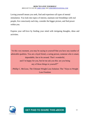Loving yourself means you seek, find and experience all types of mental stimulation. You look into topics of interest, maintain real friendships with real people, live consciously each day, consider the bigger picture, and find power within you.

Express your self-love by feeding your mind with intriguing thoughts, ideas and activities.

"At this very moment, you may be saying to yourself that you have any number of admirable qualities. You are a loyal friend, a caring person, someone who is smart, dependable, fun to be around. That's wonderful, and I'm happy for you, but let me ask you this: are you being any of those things to yourself?"

–Phillip C. McGraw, The Ultimate Weight Loss Solution: The 7 Keys to Weight Loss Freedom

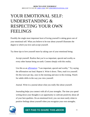### YOUR EMOTIONAL SELF: UNDERSTANDING & RESPECTING YOUR OWN FEELINGS

Possibly the single most important facet of loving yourself is taking great care of your emotional self. What you believe to be true about yourself illustrates the degree to which you love and accept yourself.

Try these tips to love yourself more by taking care of your emotional being:

Accept yourself. Realize that you're as important, special and worthy as every other human being on earth. Connect deeply with this reality.

Use this as an [affirmation:](http://www.smartrebrander.com/sl/655831) "I am important, special and worthy." Try saying the affirmation out loud. Repeat it. Write it down. Then, read it to yourself. Do this twice per day, once in the morning and once in the evening. Watch for subtle shifts in the way you view yourself.

Journal. Write in a journal about what you really like about yourself.

Journaling helps you connect with all of your strengths. The time you spend writing down your thoughts is an opportunity to cultivate positivity about all of your best qualities. On an emotional level, you can most easily relate to positive feelings about yourself when you recognize your own strengths.

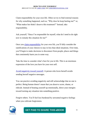Claim responsibility for your own life. Often we try to find external reasons for why something happened, such as, "Why does he keep hurting me?" or, "What makes her think I deserve this treatment?" Instead, take responsibility.

Ask yourself, "Since I'm responsible for myself, what do I need to do right now to remedy this situation for me?"

Once you [claim responsibility](http://www.smartrebrander.com/sl/655836) for your own life, you'll fully consider the ramifications of your choices to stay in less than ideal situations. Over time, you'll begin to make decisions to disconnect from people, places and things that consistently harm you in some way.

Take the time to consider what's best for you in life. This is an enormous expression of the love you have for your own self.

[Avoid negativity toward yourself.](http://www.smartrebrander.com/sl/655837) A person who loves herself avoids sending herself negative messages.

You can practice avoiding negativity and still acknowledge that no one is perfect. Being human doesn't mean that you deserve scorn, shame, or ridicule. Instead of beating yourself up emotionally, direct your energies toward turning any situation into something positive.

Forgive others. You'll feel less burdened by unwanted negative feelings when you cultivate forgiveness.

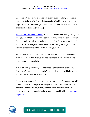Of course, it's also okay to decide that even though you forgive someone, continuing to be involved with that person isn't healthy for you. When you forgive them first, however, you can move on without the extra emotional baggage of hurt and angry feelings.

[Send out positive vibes to others.](http://www.smartrebrander.com/sl/655842) Show other people how loving, caring and kind you are. Often, we get immersed in our daily grind and don't notice all the opportunities we have to make someone's day. Showing positivity and kindness toward everyone can be intensely refreshing. When you do this, you make it obvious to others that you love yourself.

Say you're sorry if you are. Notice within yourself when you've made an error or had a misstep. Then, openly acknowledge it. This shows you're a genuine, caring human being.

You'll ultimately feel very good about apologizing when it's required. Saying you're sorry is a deeply satisfying experience that will help you to love and respect yourself even more.

Let go of any negative feelings you hold toward others. Cleansing yourself of as much negativity as possible sets you up for success in life. You feel better emotionally and physically, act more openly toward others, and demonstrate love to yourself. Lighten your emotional load by [letting go of](http://www.smartrebrander.com/sl/655843)  [negativity.](http://www.smartrebrander.com/sl/655844)

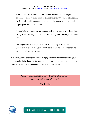Have self-respect. Refuse to allow anyone to emotionally harm you. Set guidelines within yourself about tolerating unsavory treatment from others. Having limits and boundaries is healthy and shows that you protect and respect yourself in all situations.

If you dislike the way someone treats you, leave their presence, if possible. Doing so will be the gateway toward re-claiming your self-respect and selflove.

Exit negative relationships, regardless of how scary that may feel. Ultimately, your love for yourself will be stronger than for someone who's less than positive toward you.

In essence, understanding and acknowledging your own feelings validates your existence. By being honest with yourself about your feelings and taking action in accordance with them, you honor and show love to yourself.

> "You, yourself, as much as anybody in the entire universe, deserve your love and affection."

> > –The Buddha



**GET PAID TO SHARE THIS eBOOK**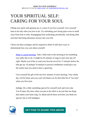### YOUR SPIRITUAL SELF: CARING FOR YOUR SOUL

Filling your spirit with genuine joy is a must if you love yourself. Give yourself time to do only what you love to do. Try refreshing your living space even in small ways from time to time, disengaging from technology periodically, and doing other activities that bring adventure and joy into your life.

Check out these strategies and be inspired to think of still more ways to demonstrate how you care about yourself:

[Make it a good morning.](http://www.smartrebrander.com/sl/655853) Take a little time in the morning to do something you really like to do. It might be 45 minutes of yoga to start your day off right. Maybe you'd like to read your favorite novel for 15 minutes before the kids get up. Or perhaps 10 minutes to practice meditation would give you the restful start you need to have a good day.

Give yourself the gift of the first few minutes of each morning. Your whole day will be better and your soul will thank you for that little bit of "me time" when you first arise.

Indulge. Do a little something special for yourself each and every day. You'll enjoy life more when you put in the effort to do just that one thing that makes your heart sing. Go ahead and do those activities you think are special, fun or self-indulgent.

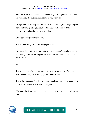You can afford 30 minutes to 1 hour every day just for yourself, can't you? Knowing you deserve it translates into loving yourself.

Change your personal space. Making small but meaningful changes in your home truly invigorates your soul. Nothing says "I love myself" like renewing your cherished space in your house.

Clean something deeply and well.

Throw some things away that weigh you down.

Rearrange the furniture in your living room. If you don't spend much time in your living room, try this in your favorite room, the one in which you hang out the most.

Paint.

Turn on the tunes. Listen to your music each day for at least 15 minutes. Most phones today have MP3 players or iPods in them.

Turn off the gadgets. One day every other week, or even once a month, turn off your cell phone, television and computer.

Disconnecting from your technology is a great way to re-connect with your soul.

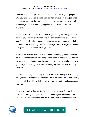Consider how you might spend a whole day away from all your gadgets. Will you take a walk, bake bread from scratch, or have a relaxing afternoon out in your yard? Maybe you'll spend the day with your father or your niece. Whatever you do with your unplugged time, you'll feel relaxed and rejuvenated.

Allow yourself to feel love from others. Experiencing the loving messages given to you by your family members and cherished friends is good for the soul. For example, when you go out to lunch with your sisters, savor their presence. Take in how they smile and make eye contact with you, or revel in that special silent communication you have.

Soak up the love that your cherished friends and family provide by staying emotionally in touch with their compliments or by their presence. Although we are often taught not to accept compliments or take them to heart, they're good for you, and are given with love. Accepting them is a way of loving yourself.

Worship. If you enjoy attending a church, temple, or other place of worship, doing so regularly is good for your soul. If you prefer to [pray](http://www.smartrebrander.com/sl/655862) at home alone, that method of worship will also bring you soulful comfort and demonstrate self-love.

Perhaps you seek to discover the "right" place of worship for you. That's okay, too. Finding your spiritual "home" can be a great adventure in selflove. People who want to worship and are successful in finding the place

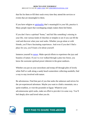that fits for them re-fill their souls every time they attend the services or events that are meaningful to them.

If you have religion or [spirituality](http://www.smartrebrander.com/sl/655867) that's meaningful in your life, practice it. Many people report that worshipping simply makes them feel better.

If you don't have a spiritual "home," and feel like something's missing in your life, visit various kinds of churches or temples to see if you can fill the void and discover what your soul seeks. Whether you go alone or with friends, you'll have fascinating experiences. And even if you don't find a place for you, you'll learn a lot about yourself.

Immerse yourself in **nature**. Make special efforts to experience the joys and beauties of nature. If you've ever walked through a pine tree forest, you know the awesome spiritual power inherent in the great outdoors.

Whether you put on your snowshoes and tromp off through piles of lovely white fluff or walk along a sandy beach somewhere collecting seashells, find a way to stay involved with nature.

Be adventurous. Find that part of you that seeks the unknown and strives for the yet-experienced adventure. Maybe you want to climb a mountain, run a sprint triathlon, or visit the pyramids in Egypt. Whatever your adventuresome spirit seeks, make an effort to provide it in some way. You'll feel deeply alive and loved when you do.

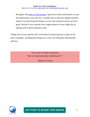Recognize that [time is of the essence.](http://www.smartrebrander.com/sl/655873) Spend your hours and minutes in ways that demonstrate your self-love. Consider time as precious, golden moments meant to be spent doing the things you love and working toward your life's goals. Decide to love yourself every single minute of every single day by making each of those moments count.

Taking care of your spiritual self can be done by practicing one or many of the above strategies. Anything that brings joy to your soul ultimately demonstrates self-love.

> "Your soul is all that you possess. Take it in hand and make something of it!"

> > –Martin H. Fischer